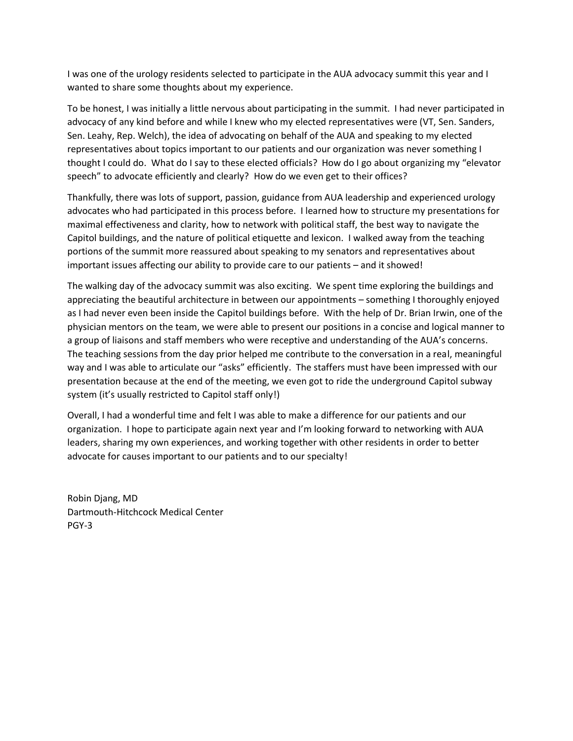I was one of the urology residents selected to participate in the AUA advocacy summit this year and I wanted to share some thoughts about my experience.

To be honest, I was initially a little nervous about participating in the summit. I had never participated in advocacy of any kind before and while I knew who my elected representatives were (VT, Sen. Sanders, Sen. Leahy, Rep. Welch), the idea of advocating on behalf of the AUA and speaking to my elected representatives about topics important to our patients and our organization was never something I thought I could do. What do I say to these elected officials? How do I go about organizing my "elevator speech" to advocate efficiently and clearly? How do we even get to their offices?

Thankfully, there was lots of support, passion, guidance from AUA leadership and experienced urology advocates who had participated in this process before. I learned how to structure my presentations for maximal effectiveness and clarity, how to network with political staff, the best way to navigate the Capitol buildings, and the nature of political etiquette and lexicon. I walked away from the teaching portions of the summit more reassured about speaking to my senators and representatives about important issues affecting our ability to provide care to our patients – and it showed!

The walking day of the advocacy summit was also exciting. We spent time exploring the buildings and appreciating the beautiful architecture in between our appointments – something I thoroughly enjoyed as I had never even been inside the Capitol buildings before. With the help of Dr. Brian Irwin, one of the physician mentors on the team, we were able to present our positions in a concise and logical manner to a group of liaisons and staff members who were receptive and understanding of the AUA's concerns. The teaching sessions from the day prior helped me contribute to the conversation in a real, meaningful way and I was able to articulate our "asks" efficiently. The staffers must have been impressed with our presentation because at the end of the meeting, we even got to ride the underground Capitol subway system (it's usually restricted to Capitol staff only!)

Overall, I had a wonderful time and felt I was able to make a difference for our patients and our organization. I hope to participate again next year and I'm looking forward to networking with AUA leaders, sharing my own experiences, and working together with other residents in order to better advocate for causes important to our patients and to our specialty!

Robin Djang, MD Dartmouth-Hitchcock Medical Center PGY-3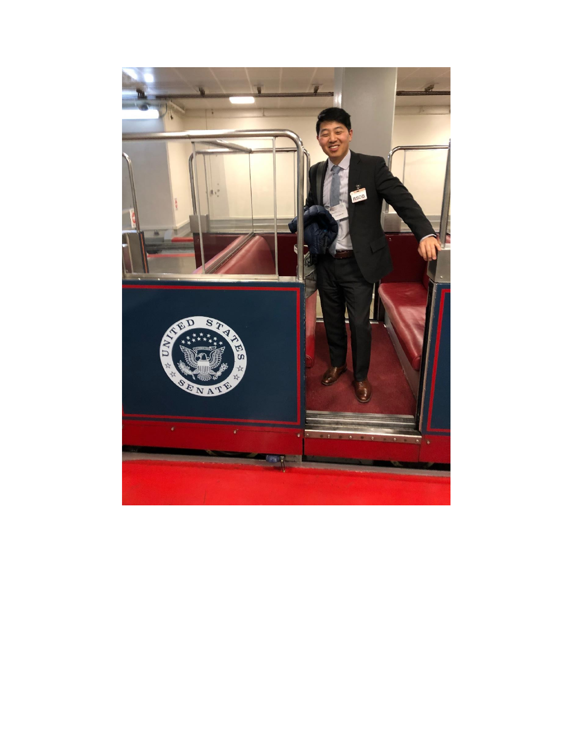